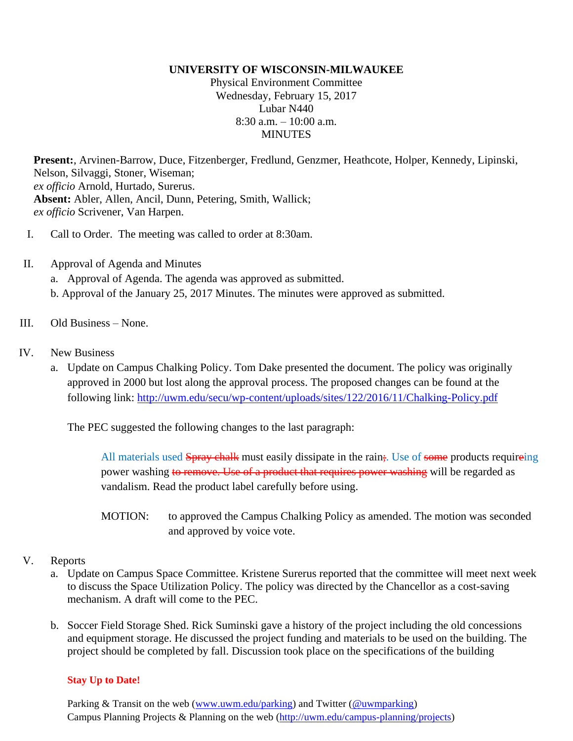## **UNIVERSITY OF WISCONSIN-MILWAUKEE**

Physical Environment Committee Wednesday, February 15, 2017 Lubar N440  $8:30$  a.m.  $-10:00$  a.m. MINUTES

**Present:**, Arvinen-Barrow, Duce, Fitzenberger, Fredlund, Genzmer, Heathcote, Holper, Kennedy, Lipinski, Nelson, Silvaggi, Stoner, Wiseman; *ex officio* Arnold, Hurtado, Surerus. **Absent:** Abler, Allen, Ancil, Dunn, Petering, Smith, Wallick; *ex officio* Scrivener, Van Harpen.

- I. Call to Order. The meeting was called to order at 8:30am.
- II. Approval of Agenda and Minutes a. Approval of Agenda. The agenda was approved as submitted.
	- b. Approval of the January 25, 2017 Minutes. The minutes were approved as submitted.
- III. Old Business None.
- IV. New Business
	- a. Update on Campus Chalking Policy. Tom Dake presented the document. The policy was originally approved in 2000 but lost along the approval process. The proposed changes can be found at the following link:<http://uwm.edu/secu/wp-content/uploads/sites/122/2016/11/Chalking-Policy.pdf>

The PEC suggested the following changes to the last paragraph:

All materials used **Spray chalk** must easily dissipate in the rain; Use of some products requireing power washing to remove. Use of a product that requires power washing will be regarded as vandalism. Read the product label carefully before using.

MOTION: to approved the Campus Chalking Policy as amended. The motion was seconded and approved by voice vote.

- V. Reports
	- a. Update on Campus Space Committee. Kristene Surerus reported that the committee will meet next week to discuss the Space Utilization Policy. The policy was directed by the Chancellor as a cost-saving mechanism. A draft will come to the PEC.
	- b. Soccer Field Storage Shed. Rick Suminski gave a history of the project including the old concessions and equipment storage. He discussed the project funding and materials to be used on the building. The project should be completed by fall. Discussion took place on the specifications of the building

## **Stay Up to Date!**

Parking & Transit on the web [\(www.uwm.edu/parking\)](http://www.uwm.edu/parking) and Twitter [\(@uwmparking\)](http://www.twitter.com/uwmparking) Campus Planning Projects & Planning on the web [\(http://uwm.edu/campus-planning/projects\)](http://uwm.edu/campus-planning/projects)